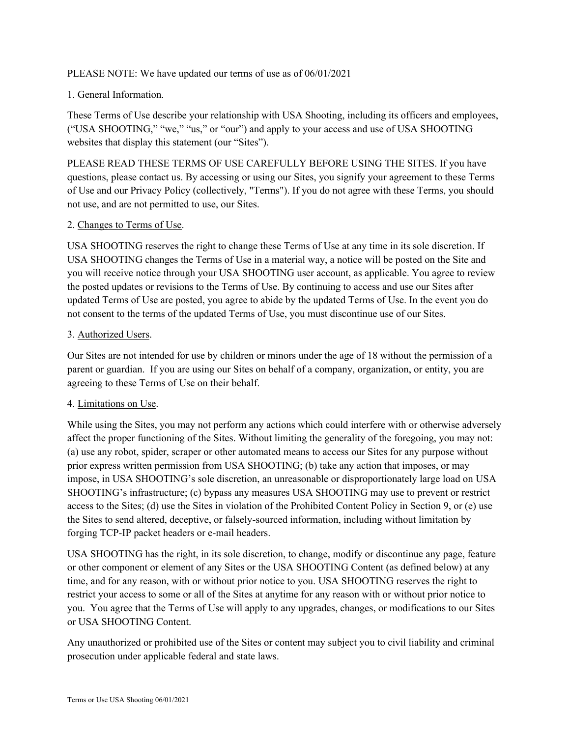## PLEASE NOTE: We have updated our terms of use as of 06/01/2021

## 1. General Information.

These Terms of Use describe your relationship with USA Shooting, including its officers and employees, ("USA SHOOTING," "we," "us," or "our") and apply to your access and use of USA SHOOTING websites that display this statement (our "Sites").

PLEASE READ THESE TERMS OF USE CAREFULLY BEFORE USING THE SITES. If you have questions, please contact us. By accessing or using our Sites, you signify your agreement to these Terms of Use and our Privacy Policy (collectively, "Terms"). If you do not agree with these Terms, you should not use, and are not permitted to use, our Sites.

## 2. Changes to Terms of Use.

USA SHOOTING reserves the right to change these Terms of Use at any time in its sole discretion. If USA SHOOTING changes the Terms of Use in a material way, a notice will be posted on the Site and you will receive notice through your USA SHOOTING user account, as applicable. You agree to review the posted updates or revisions to the Terms of Use. By continuing to access and use our Sites after updated Terms of Use are posted, you agree to abide by the updated Terms of Use. In the event you do not consent to the terms of the updated Terms of Use, you must discontinue use of our Sites.

## 3. Authorized Users.

Our Sites are not intended for use by children or minors under the age of 18 without the permission of a parent or guardian. If you are using our Sites on behalf of a company, organization, or entity, you are agreeing to these Terms of Use on their behalf.

#### 4. Limitations on Use.

While using the Sites, you may not perform any actions which could interfere with or otherwise adversely affect the proper functioning of the Sites. Without limiting the generality of the foregoing, you may not: (a) use any robot, spider, scraper or other automated means to access our Sites for any purpose without prior express written permission from USA SHOOTING; (b) take any action that imposes, or may impose, in USA SHOOTING's sole discretion, an unreasonable or disproportionately large load on USA SHOOTING's infrastructure; (c) bypass any measures USA SHOOTING may use to prevent or restrict access to the Sites; (d) use the Sites in violation of the Prohibited Content Policy in Section 9, or (e) use the Sites to send altered, deceptive, or falsely-sourced information, including without limitation by forging TCP-IP packet headers or e-mail headers.

USA SHOOTING has the right, in its sole discretion, to change, modify or discontinue any page, feature or other component or element of any Sites or the USA SHOOTING Content (as defined below) at any time, and for any reason, with or without prior notice to you. USA SHOOTING reserves the right to restrict your access to some or all of the Sites at anytime for any reason with or without prior notice to you. You agree that the Terms of Use will apply to any upgrades, changes, or modifications to our Sites or USA SHOOTING Content.

Any unauthorized or prohibited use of the Sites or content may subject you to civil liability and criminal prosecution under applicable federal and state laws.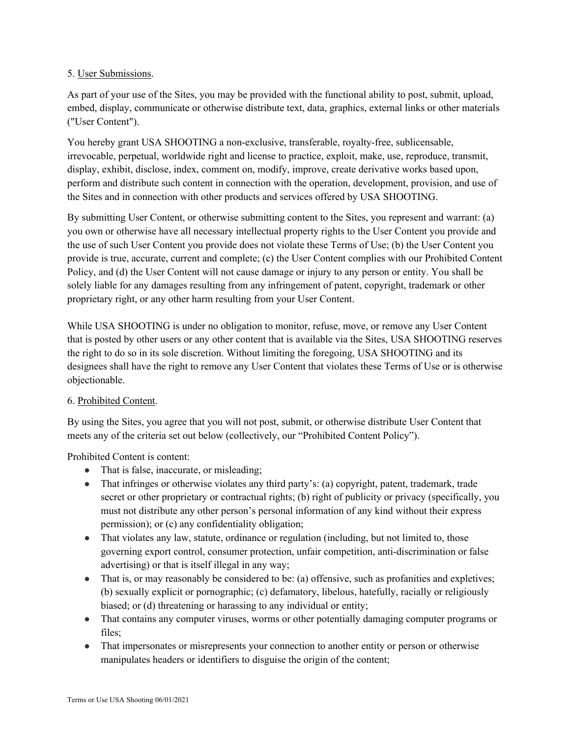## 5. User Submissions.

As part of your use of the Sites, you may be provided with the functional ability to post, submit, upload, embed, display, communicate or otherwise distribute text, data, graphics, external links or other materials ("User Content").

You hereby grant USA SHOOTING a non-exclusive, transferable, royalty-free, sublicensable, irrevocable, perpetual, worldwide right and license to practice, exploit, make, use, reproduce, transmit, display, exhibit, disclose, index, comment on, modify, improve, create derivative works based upon, perform and distribute such content in connection with the operation, development, provision, and use of the Sites and in connection with other products and services offered by USA SHOOTING.

By submitting User Content, or otherwise submitting content to the Sites, you represent and warrant: (a) you own or otherwise have all necessary intellectual property rights to the User Content you provide and the use of such User Content you provide does not violate these Terms of Use; (b) the User Content you provide is true, accurate, current and complete; (c) the User Content complies with our Prohibited Content Policy, and (d) the User Content will not cause damage or injury to any person or entity. You shall be solely liable for any damages resulting from any infringement of patent, copyright, trademark or other proprietary right, or any other harm resulting from your User Content.

While USA SHOOTING is under no obligation to monitor, refuse, move, or remove any User Content that is posted by other users or any other content that is available via the Sites, USA SHOOTING reserves the right to do so in its sole discretion. Without limiting the foregoing, USA SHOOTING and its designees shall have the right to remove any User Content that violates these Terms of Use or is otherwise objectionable.

# 6. Prohibited Content.

By using the Sites, you agree that you will not post, submit, or otherwise distribute User Content that meets any of the criteria set out below (collectively, our "Prohibited Content Policy").

Prohibited Content is content:

- That is false, inaccurate, or misleading;
- That infringes or otherwise violates any third party's: (a) copyright, patent, trademark, trade secret or other proprietary or contractual rights; (b) right of publicity or privacy (specifically, you must not distribute any other person's personal information of any kind without their express permission); or (c) any confidentiality obligation;
- That violates any law, statute, ordinance or regulation (including, but not limited to, those governing export control, consumer protection, unfair competition, anti-discrimination or false advertising) or that is itself illegal in any way;
- That is, or may reasonably be considered to be: (a) offensive, such as profanities and expletives; (b) sexually explicit or pornographic; (c) defamatory, libelous, hatefully, racially or religiously biased; or (d) threatening or harassing to any individual or entity;
- That contains any computer viruses, worms or other potentially damaging computer programs or files;
- That impersonates or misrepresents your connection to another entity or person or otherwise manipulates headers or identifiers to disguise the origin of the content;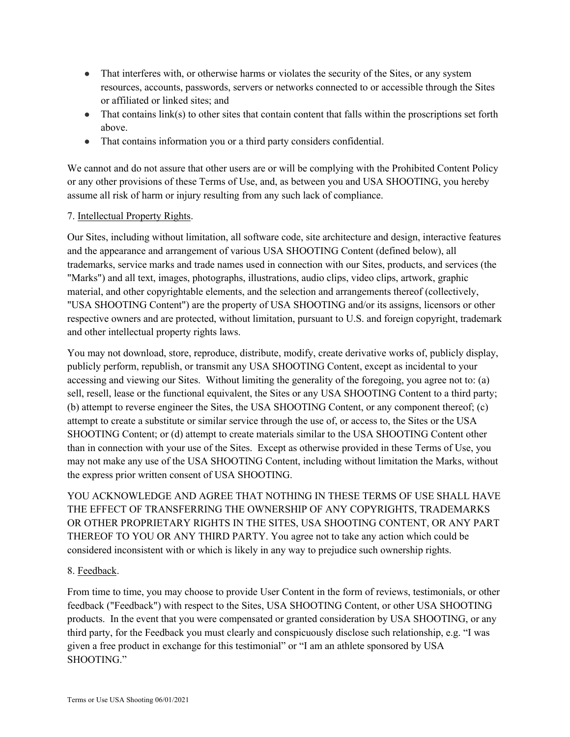- That interferes with, or otherwise harms or violates the security of the Sites, or any system resources, accounts, passwords, servers or networks connected to or accessible through the Sites or affiliated or linked sites; and
- That contains link(s) to other sites that contain content that falls within the proscriptions set forth above.
- That contains information you or a third party considers confidential.

We cannot and do not assure that other users are or will be complying with the Prohibited Content Policy or any other provisions of these Terms of Use, and, as between you and USA SHOOTING, you hereby assume all risk of harm or injury resulting from any such lack of compliance.

## 7. Intellectual Property Rights.

Our Sites, including without limitation, all software code, site architecture and design, interactive features and the appearance and arrangement of various USA SHOOTING Content (defined below), all trademarks, service marks and trade names used in connection with our Sites, products, and services (the "Marks") and all text, images, photographs, illustrations, audio clips, video clips, artwork, graphic material, and other copyrightable elements, and the selection and arrangements thereof (collectively, "USA SHOOTING Content") are the property of USA SHOOTING and/or its assigns, licensors or other respective owners and are protected, without limitation, pursuant to U.S. and foreign copyright, trademark and other intellectual property rights laws.

You may not download, store, reproduce, distribute, modify, create derivative works of, publicly display, publicly perform, republish, or transmit any USA SHOOTING Content, except as incidental to your accessing and viewing our Sites. Without limiting the generality of the foregoing, you agree not to: (a) sell, resell, lease or the functional equivalent, the Sites or any USA SHOOTING Content to a third party; (b) attempt to reverse engineer the Sites, the USA SHOOTING Content, or any component thereof; (c) attempt to create a substitute or similar service through the use of, or access to, the Sites or the USA SHOOTING Content; or (d) attempt to create materials similar to the USA SHOOTING Content other than in connection with your use of the Sites. Except as otherwise provided in these Terms of Use, you may not make any use of the USA SHOOTING Content, including without limitation the Marks, without the express prior written consent of USA SHOOTING.

YOU ACKNOWLEDGE AND AGREE THAT NOTHING IN THESE TERMS OF USE SHALL HAVE THE EFFECT OF TRANSFERRING THE OWNERSHIP OF ANY COPYRIGHTS, TRADEMARKS OR OTHER PROPRIETARY RIGHTS IN THE SITES, USA SHOOTING CONTENT, OR ANY PART THEREOF TO YOU OR ANY THIRD PARTY. You agree not to take any action which could be considered inconsistent with or which is likely in any way to prejudice such ownership rights.

#### 8. Feedback.

From time to time, you may choose to provide User Content in the form of reviews, testimonials, or other feedback ("Feedback") with respect to the Sites, USA SHOOTING Content, or other USA SHOOTING products. In the event that you were compensated or granted consideration by USA SHOOTING, or any third party, for the Feedback you must clearly and conspicuously disclose such relationship, e.g. "I was given a free product in exchange for this testimonial" or "I am an athlete sponsored by USA SHOOTING."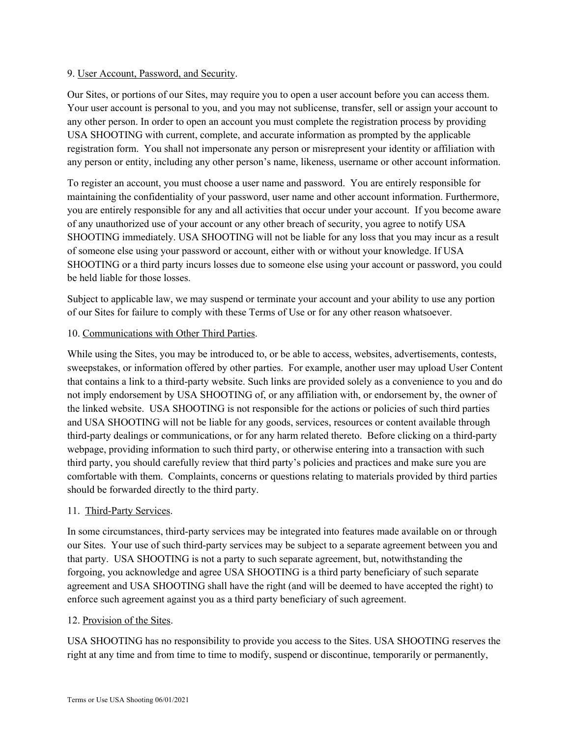#### 9. User Account, Password, and Security.

Our Sites, or portions of our Sites, may require you to open a user account before you can access them. Your user account is personal to you, and you may not sublicense, transfer, sell or assign your account to any other person. In order to open an account you must complete the registration process by providing USA SHOOTING with current, complete, and accurate information as prompted by the applicable registration form. You shall not impersonate any person or misrepresent your identity or affiliation with any person or entity, including any other person's name, likeness, username or other account information.

To register an account, you must choose a user name and password. You are entirely responsible for maintaining the confidentiality of your password, user name and other account information. Furthermore, you are entirely responsible for any and all activities that occur under your account. If you become aware of any unauthorized use of your account or any other breach of security, you agree to notify USA SHOOTING immediately. USA SHOOTING will not be liable for any loss that you may incur as a result of someone else using your password or account, either with or without your knowledge. If USA SHOOTING or a third party incurs losses due to someone else using your account or password, you could be held liable for those losses.

Subject to applicable law, we may suspend or terminate your account and your ability to use any portion of our Sites for failure to comply with these Terms of Use or for any other reason whatsoever.

#### 10. Communications with Other Third Parties.

While using the Sites, you may be introduced to, or be able to access, websites, advertisements, contests, sweepstakes, or information offered by other parties. For example, another user may upload User Content that contains a link to a third-party website. Such links are provided solely as a convenience to you and do not imply endorsement by USA SHOOTING of, or any affiliation with, or endorsement by, the owner of the linked website. USA SHOOTING is not responsible for the actions or policies of such third parties and USA SHOOTING will not be liable for any goods, services, resources or content available through third-party dealings or communications, or for any harm related thereto. Before clicking on a third-party webpage, providing information to such third party, or otherwise entering into a transaction with such third party, you should carefully review that third party's policies and practices and make sure you are comfortable with them. Complaints, concerns or questions relating to materials provided by third parties should be forwarded directly to the third party.

#### 11. Third-Party Services.

In some circumstances, third-party services may be integrated into features made available on or through our Sites. Your use of such third-party services may be subject to a separate agreement between you and that party. USA SHOOTING is not a party to such separate agreement, but, notwithstanding the forgoing, you acknowledge and agree USA SHOOTING is a third party beneficiary of such separate agreement and USA SHOOTING shall have the right (and will be deemed to have accepted the right) to enforce such agreement against you as a third party beneficiary of such agreement.

#### 12. Provision of the Sites.

USA SHOOTING has no responsibility to provide you access to the Sites. USA SHOOTING reserves the right at any time and from time to time to modify, suspend or discontinue, temporarily or permanently,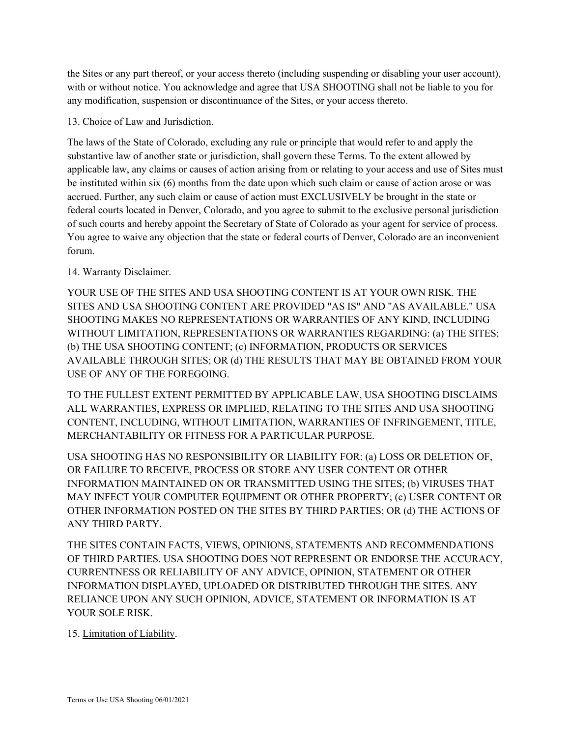the Sites or any part thereof, or your access thereto (including suspending or disabling your user account), with or without notice. You acknowledge and agree that USA SHOOTING shall not be liable to you for any modification, suspension or discontinuance of the Sites, or your access thereto.

# 13. Choice of Law and Jurisdiction.

The laws of the State of Colorado, excluding any rule or principle that would refer to and apply the substantive law of another state or jurisdiction, shall govern these Terms. To the extent allowed by applicable law, any claims or causes of action arising from or relating to your access and use of Sites must be instituted within six (6) months from the date upon which such claim or cause of action arose or was accrued. Further, any such claim or cause of action must EXCLUSIVELY be brought in the state or federal courts located in Denver, Colorado, and you agree to submit to the exclusive personal jurisdiction of such courts and hereby appoint the Secretary of State of Colorado as your agent for service of process. You agree to waive any objection that the state or federal courts of Denver, Colorado are an inconvenient forum.

# 14. Warranty Disclaimer.

YOUR USE OF THE SITES AND USA SHOOTING CONTENT IS AT YOUR OWN RISK. THE SITES AND USA SHOOTING CONTENT ARE PROVIDED "AS IS" AND "AS AVAILABLE." USA SHOOTING MAKES NO REPRESENTATIONS OR WARRANTIES OF ANY KIND, INCLUDING WITHOUT LIMITATION, REPRESENTATIONS OR WARRANTIES REGARDING: (a) THE SITES; (b) THE USA SHOOTING CONTENT; (c) INFORMATION, PRODUCTS OR SERVICES AVAILABLE THROUGH SITES; OR (d) THE RESULTS THAT MAY BE OBTAINED FROM YOUR USE OF ANY OF THE FOREGOING.

TO THE FULLEST EXTENT PERMITTED BY APPLICABLE LAW, USA SHOOTING DISCLAIMS ALL WARRANTIES, EXPRESS OR IMPLIED, RELATING TO THE SITES AND USA SHOOTING CONTENT, INCLUDING, WITHOUT LIMITATION, WARRANTIES OF INFRINGEMENT, TITLE, MERCHANTABILITY OR FITNESS FOR A PARTICULAR PURPOSE.

USA SHOOTING HAS NO RESPONSIBILITY OR LIABILITY FOR: (a) LOSS OR DELETION OF, OR FAILURE TO RECEIVE, PROCESS OR STORE ANY USER CONTENT OR OTHER INFORMATION MAINTAINED ON OR TRANSMITTED USING THE SITES; (b) VIRUSES THAT MAY INFECT YOUR COMPUTER EQUIPMENT OR OTHER PROPERTY; (c) USER CONTENT OR OTHER INFORMATION POSTED ON THE SITES BY THIRD PARTIES; OR (d) THE ACTIONS OF ANY THIRD PARTY.

THE SITES CONTAIN FACTS, VIEWS, OPINIONS, STATEMENTS AND RECOMMENDATIONS OF THIRD PARTIES. USA SHOOTING DOES NOT REPRESENT OR ENDORSE THE ACCURACY, CURRENTNESS OR RELIABILITY OF ANY ADVICE, OPINION, STATEMENT OR OTHER INFORMATION DISPLAYED, UPLOADED OR DISTRIBUTED THROUGH THE SITES. ANY RELIANCE UPON ANY SUCH OPINION, ADVICE, STATEMENT OR INFORMATION IS AT YOUR SOLE RISK.

15. Limitation of Liability.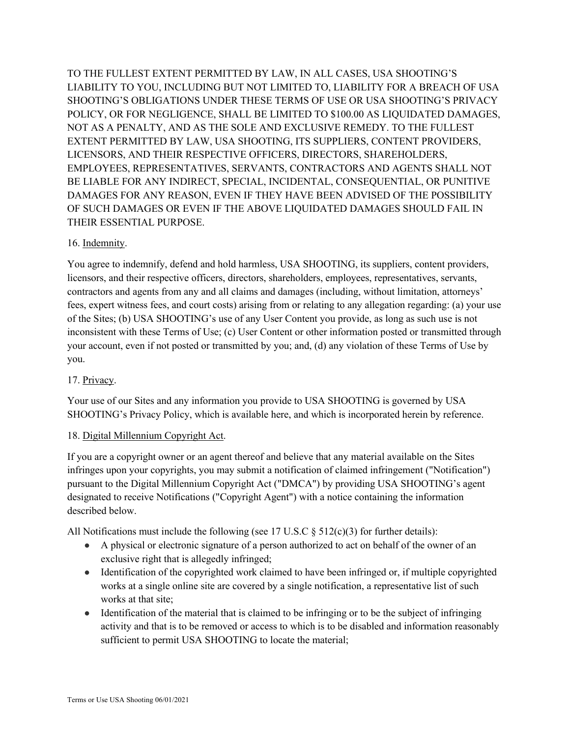TO THE FULLEST EXTENT PERMITTED BY LAW, IN ALL CASES, USA SHOOTING'S LIABILITY TO YOU, INCLUDING BUT NOT LIMITED TO, LIABILITY FOR A BREACH OF USA SHOOTING'S OBLIGATIONS UNDER THESE TERMS OF USE OR USA SHOOTING'S PRIVACY POLICY, OR FOR NEGLIGENCE, SHALL BE LIMITED TO \$100.00 AS LIQUIDATED DAMAGES, NOT AS A PENALTY, AND AS THE SOLE AND EXCLUSIVE REMEDY. TO THE FULLEST EXTENT PERMITTED BY LAW, USA SHOOTING, ITS SUPPLIERS, CONTENT PROVIDERS, LICENSORS, AND THEIR RESPECTIVE OFFICERS, DIRECTORS, SHAREHOLDERS, EMPLOYEES, REPRESENTATIVES, SERVANTS, CONTRACTORS AND AGENTS SHALL NOT BE LIABLE FOR ANY INDIRECT, SPECIAL, INCIDENTAL, CONSEQUENTIAL, OR PUNITIVE DAMAGES FOR ANY REASON, EVEN IF THEY HAVE BEEN ADVISED OF THE POSSIBILITY OF SUCH DAMAGES OR EVEN IF THE ABOVE LIQUIDATED DAMAGES SHOULD FAIL IN THEIR ESSENTIAL PURPOSE.

## 16. Indemnity.

You agree to indemnify, defend and hold harmless, USA SHOOTING, its suppliers, content providers, licensors, and their respective officers, directors, shareholders, employees, representatives, servants, contractors and agents from any and all claims and damages (including, without limitation, attorneys' fees, expert witness fees, and court costs) arising from or relating to any allegation regarding: (a) your use of the Sites; (b) USA SHOOTING's use of any User Content you provide, as long as such use is not inconsistent with these Terms of Use; (c) User Content or other information posted or transmitted through your account, even if not posted or transmitted by you; and, (d) any violation of these Terms of Use by you.

#### 17. Privacy.

Your use of our Sites and any information you provide to USA SHOOTING is governed by USA SHOOTING's Privacy Policy, which is available here, and which is incorporated herein by reference.

#### 18. Digital Millennium Copyright Act.

If you are a copyright owner or an agent thereof and believe that any material available on the Sites infringes upon your copyrights, you may submit a notification of claimed infringement ("Notification") pursuant to the Digital Millennium Copyright Act ("DMCA") by providing USA SHOOTING's agent designated to receive Notifications ("Copyright Agent") with a notice containing the information described below.

All Notifications must include the following (see 17 U.S.C  $\S$  512(c)(3) for further details):

- A physical or electronic signature of a person authorized to act on behalf of the owner of an exclusive right that is allegedly infringed;
- Identification of the copyrighted work claimed to have been infringed or, if multiple copyrighted works at a single online site are covered by a single notification, a representative list of such works at that site;
- Identification of the material that is claimed to be infringing or to be the subject of infringing activity and that is to be removed or access to which is to be disabled and information reasonably sufficient to permit USA SHOOTING to locate the material;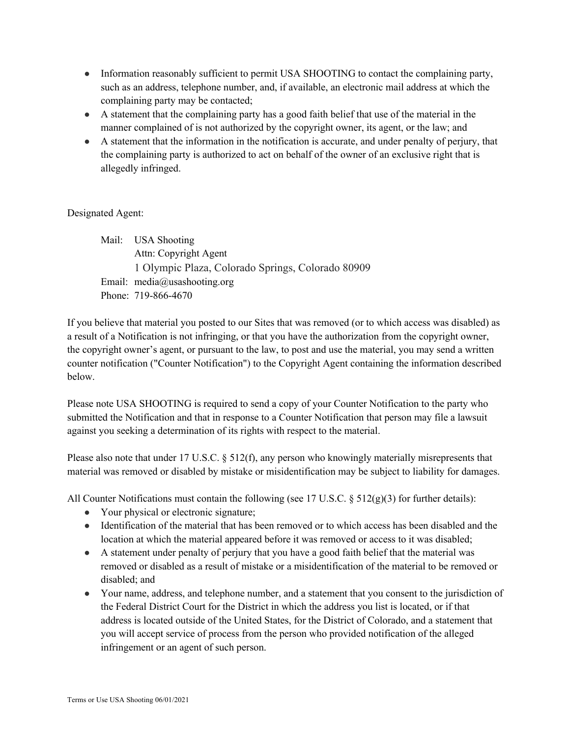- Information reasonably sufficient to permit USA SHOOTING to contact the complaining party, such as an address, telephone number, and, if available, an electronic mail address at which the complaining party may be contacted;
- A statement that the complaining party has a good faith belief that use of the material in the manner complained of is not authorized by the copyright owner, its agent, or the law; and
- A statement that the information in the notification is accurate, and under penalty of perjury, that the complaining party is authorized to act on behalf of the owner of an exclusive right that is allegedly infringed.

# Designated Agent:

Mail: USA Shooting Attn: Copyright Agent 1 Olympic Plaza, Colorado Springs, Colorado 80909 Email: media@usashooting.org Phone: 719-866-4670

If you believe that material you posted to our Sites that was removed (or to which access was disabled) as a result of a Notification is not infringing, or that you have the authorization from the copyright owner, the copyright owner's agent, or pursuant to the law, to post and use the material, you may send a written counter notification ("Counter Notification") to the Copyright Agent containing the information described below.

Please note USA SHOOTING is required to send a copy of your Counter Notification to the party who submitted the Notification and that in response to a Counter Notification that person may file a lawsuit against you seeking a determination of its rights with respect to the material.

Please also note that under 17 U.S.C. § 512(f), any person who knowingly materially misrepresents that material was removed or disabled by mistake or misidentification may be subject to liability for damages.

All Counter Notifications must contain the following (see 17 U.S.C. § 512(g)(3) for further details):

- Your physical or electronic signature;
- Identification of the material that has been removed or to which access has been disabled and the location at which the material appeared before it was removed or access to it was disabled;
- A statement under penalty of perjury that you have a good faith belief that the material was removed or disabled as a result of mistake or a misidentification of the material to be removed or disabled; and
- Your name, address, and telephone number, and a statement that you consent to the jurisdiction of the Federal District Court for the District in which the address you list is located, or if that address is located outside of the United States, for the District of Colorado, and a statement that you will accept service of process from the person who provided notification of the alleged infringement or an agent of such person.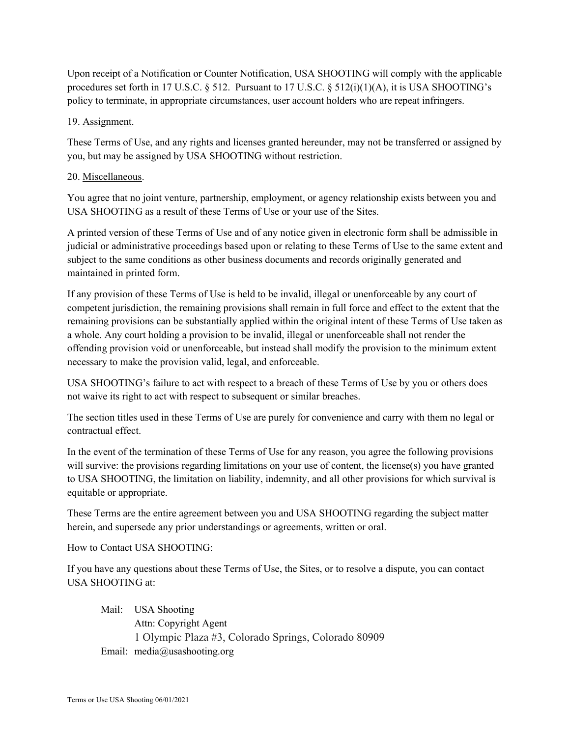Upon receipt of a Notification or Counter Notification, USA SHOOTING will comply with the applicable procedures set forth in 17 U.S.C. § 512. Pursuant to 17 U.S.C. § 512(i)(1)(A), it is USA SHOOTING's policy to terminate, in appropriate circumstances, user account holders who are repeat infringers.

# 19. Assignment.

These Terms of Use, and any rights and licenses granted hereunder, may not be transferred or assigned by you, but may be assigned by USA SHOOTING without restriction.

# 20. Miscellaneous.

You agree that no joint venture, partnership, employment, or agency relationship exists between you and USA SHOOTING as a result of these Terms of Use or your use of the Sites.

A printed version of these Terms of Use and of any notice given in electronic form shall be admissible in judicial or administrative proceedings based upon or relating to these Terms of Use to the same extent and subject to the same conditions as other business documents and records originally generated and maintained in printed form.

If any provision of these Terms of Use is held to be invalid, illegal or unenforceable by any court of competent jurisdiction, the remaining provisions shall remain in full force and effect to the extent that the remaining provisions can be substantially applied within the original intent of these Terms of Use taken as a whole. Any court holding a provision to be invalid, illegal or unenforceable shall not render the offending provision void or unenforceable, but instead shall modify the provision to the minimum extent necessary to make the provision valid, legal, and enforceable.

USA SHOOTING's failure to act with respect to a breach of these Terms of Use by you or others does not waive its right to act with respect to subsequent or similar breaches.

The section titles used in these Terms of Use are purely for convenience and carry with them no legal or contractual effect.

In the event of the termination of these Terms of Use for any reason, you agree the following provisions will survive: the provisions regarding limitations on your use of content, the license(s) you have granted to USA SHOOTING, the limitation on liability, indemnity, and all other provisions for which survival is equitable or appropriate.

These Terms are the entire agreement between you and USA SHOOTING regarding the subject matter herein, and supersede any prior understandings or agreements, written or oral.

How to Contact USA SHOOTING:

If you have any questions about these Terms of Use, the Sites, or to resolve a dispute, you can contact USA SHOOTING at:

Mail: USA Shooting Attn: Copyright Agent 1 Olympic Plaza #3, Colorado Springs, Colorado 80909 Email: media@usashooting.org